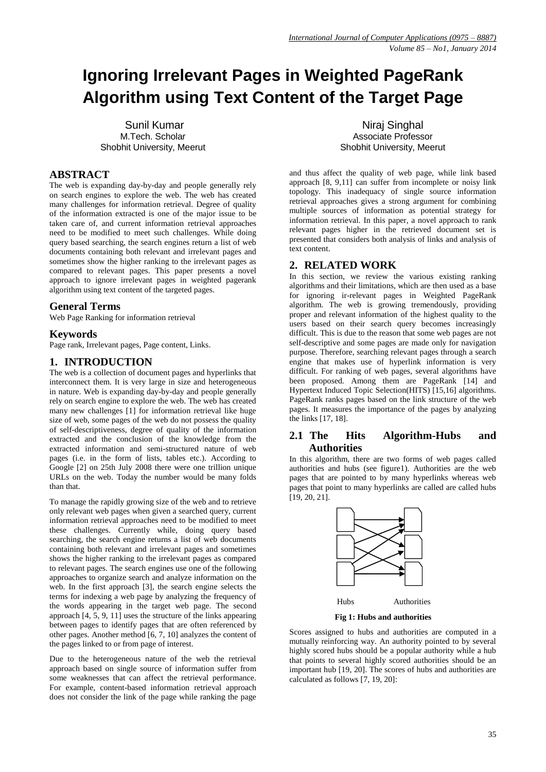# **Ignoring Irrelevant Pages in Weighted PageRank Algorithm using Text Content of the Target Page**

Sunil Kumar M.Tech. Scholar Shobhit University, Meerut

### **ABSTRACT**

The web is expanding day-by-day and people generally rely on search engines to explore the web. The web has created many challenges for information retrieval. Degree of quality of the information extracted is one of the major issue to be taken care of, and current information retrieval approaches need to be modified to meet such challenges. While doing query based searching, the search engines return a list of web documents containing both relevant and irrelevant pages and sometimes show the higher ranking to the irrelevant pages as compared to relevant pages. This paper presents a novel approach to ignore irrelevant pages in weighted pagerank algorithm using text content of the targeted pages.

## **General Terms**

Web Page Ranking for information retrieval

#### **Keywords**

Page rank, Irrelevant pages, Page content, Links.

# **1. INTRODUCTION**

The web is a collection of document pages and hyperlinks that interconnect them. It is very large in size and heterogeneous in nature. Web is expanding day-by-day and people generally rely on search engine to explore the web. The web has created many new challenges [1] for information retrieval like huge size of web, some pages of the web do not possess the quality of self-descriptiveness, degree of quality of the information extracted and the conclusion of the knowledge from the extracted information and semi-structured nature of web pages (i.e. in the form of lists, tables etc.). According to Google [2] on 25th July 2008 there were one trillion unique URLs on the web. Today the number would be many folds than that.

To manage the rapidly growing size of the web and to retrieve only relevant web pages when given a searched query, current information retrieval approaches need to be modified to meet these challenges. Currently while, doing query based searching, the search engine returns a list of web documents containing both relevant and irrelevant pages and sometimes shows the higher ranking to the irrelevant pages as compared to relevant pages. The search engines use one of the following approaches to organize search and analyze information on the web. In the first approach [3], the search engine selects the terms for indexing a web page by analyzing the frequency of the words appearing in the target web page. The second approach [4, 5, 9, 11] uses the structure of the links appearing between pages to identify pages that are often referenced by other pages. Another method [6, 7, 10] analyzes the content of the pages linked to or from page of interest.

Due to the heterogeneous nature of the web the retrieval approach based on single source of information suffer from some weaknesses that can affect the retrieval performance. For example, content-based information retrieval approach does not consider the link of the page while ranking the page

Niraj Singhal Associate Professor Shobhit University, Meerut

and thus affect the quality of web page, while link based approach [8, 9,11] can suffer from incomplete or noisy link topology. This inadequacy of single source information retrieval approaches gives a strong argument for combining multiple sources of information as potential strategy for information retrieval. In this paper, a novel approach to rank relevant pages higher in the retrieved document set is presented that considers both analysis of links and analysis of text content.

## **2. RELATED WORK**

In this section, we review the various existing ranking algorithms and their limitations, which are then used as a base for ignoring ir-relevant pages in Weighted PageRank algorithm. The web is growing tremendously, providing proper and relevant information of the highest quality to the users based on their search query becomes increasingly difficult. This is due to the reason that some web pages are not self-descriptive and some pages are made only for navigation purpose. Therefore, searching relevant pages through a search engine that makes use of hyperlink information is very difficult. For ranking of web pages, several algorithms have been proposed. Among them are PageRank [14] and Hypertext Induced Topic Selection(HITS) [15,16] algorithms. PageRank ranks pages based on the link structure of the web pages. It measures the importance of the pages by analyzing the links [17, 18].

#### **2.1 The Hits Algorithm-Hubs and Authorities**

In this algorithm, there are two forms of web pages called authorities and hubs (see figure1). Authorities are the web pages that are pointed to by many hyperlinks whereas web pages that point to many hyperlinks are called are called hubs [19, 20, 21].



 **Fig 1: Hubs and authorities**

Scores assigned to hubs and authorities are computed in a mutually reinforcing way. An authority pointed to by several highly scored hubs should be a popular authority while a hub that points to several highly scored authorities should be an important hub [19, 20]. The scores of hubs and authorities are calculated as follows [7, 19, 20]: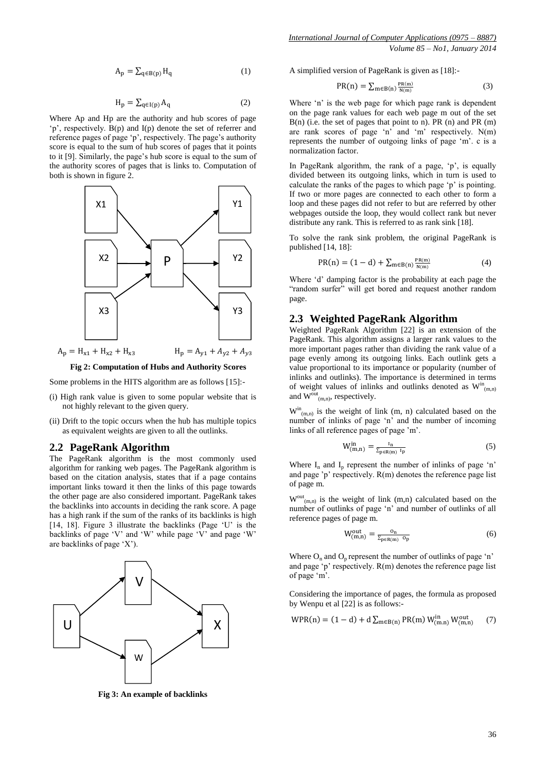$$
A_p = \sum_{q \in B(p)} H_q \tag{1}
$$

$$
H_p = \sum_{q \in I(p)} A_q \tag{2}
$$

Where Ap and Hp are the authority and hub scores of page 'p', respectively. B(p) and I(p) denote the set of referrer and reference pages of page 'p', respectively. The page's authority score is equal to the sum of hub scores of pages that it points to it [9]. Similarly, the page's hub score is equal to the sum of the authority scores of pages that is links to. Computation of both is shown in figure 2.



 $A_p = H_{x1} + H_{x2} + H_{x3}$  $H_p = A_{y1} + A_{y2} + A_{y3}$ 

## **Fig 2: Computation of Hubs and Authority Scores**

Some problems in the HITS algorithm are as follows [15]:-

- (i) High rank value is given to some popular website that is not highly relevant to the given query.
- (ii) Drift to the topic occurs when the hub has multiple topics as equivalent weights are given to all the outlinks.

#### **2.2 PageRank Algorithm**

The PageRank algorithm is the most commonly used algorithm for ranking web pages. The PageRank algorithm is based on the citation analysis, states that if a page contains important links toward it then the links of this page towards the other page are also considered important. PageRank takes the backlinks into accounts in deciding the rank score. A page has a high rank if the sum of the ranks of its backlinks is high [14, 18]. Figure 3 illustrate the backlinks (Page 'U' is the backlinks of page 'V' and 'W' while page 'V' and page 'W' are backlinks of page 'X').



**Fig 3: An example of backlinks**

A simplified version of PageRank is given as [18]:-

$$
PR(n) = \sum_{m \in B(n)} \frac{PR(m)}{N(m)}
$$
(3)

Where 'n' is the web page for which page rank is dependent on the page rank values for each web page m out of the set B(n) (i.e. the set of pages that point to n). PR (n) and PR (m) are rank scores of page 'n' and 'm' respectively. N(m) represents the number of outgoing links of page 'm'. c is a normalization factor.

In PageRank algorithm, the rank of a page, 'p', is equally divided between its outgoing links, which in turn is used to calculate the ranks of the pages to which page 'p' is pointing. If two or more pages are connected to each other to form a loop and these pages did not refer to but are referred by other webpages outside the loop, they would collect rank but never distribute any rank. This is referred to as rank sink [18].

To solve the rank sink problem, the original PageRank is published [14, 18]:

$$
PR(n) = (1 - d) + \sum_{m \in B(n)} \frac{PR(m)}{N(m)}
$$
(4)

Where 'd' damping factor is the probability at each page the "random surfer" will get bored and request another random page.

#### **2.3 Weighted PageRank Algorithm**

Weighted PageRank Algorithm [22] is an extension of the PageRank. This algorithm assigns a larger rank values to the more important pages rather than dividing the rank value of a page evenly among its outgoing links. Each outlink gets a value proportional to its importance or popularity (number of inlinks and outlinks). The importance is determined in terms of weight values of inlinks and outlinks denoted as  $W^{in}_{(m,n)}$ and  $W^{\text{out}}_{(m,n)}$ , respectively.

 $W^{\text{in}}_{(m,n)}$  is the weight of link (m, n) calculated based on the number of inlinks of page 'n' and the number of incoming links of all reference pages of page 'm'.

$$
W_{(m,n)}^{\rm in} = \frac{I_n}{\Sigma_{\rm p\in R(m)} I_{\rm p}}
$$
 (5)

Where  $I_n$  and  $I_p$  represent the number of inlinks of page 'n' and page 'p' respectively. R(m) denotes the reference page list of page m.

 $W^{out}_{(m,n)}$  is the weight of link (m,n) calculated based on the number of outlinks of page 'n' and number of outlinks of all reference pages of page m.

$$
W_{(m,n)}^{\text{out}} = \frac{\mathsf{o}_n}{\Sigma_{\text{peR}(m)} \ \mathsf{o}_p} \tag{6}
$$

Where  $O_n$  and  $O_p$  represent the number of outlinks of page 'n' and page 'p' respectively. R(m) denotes the reference page list of page 'm'.

Considering the importance of pages, the formula as proposed by Wenpu et al [22] is as follows:-

$$
WPR(n) = (1 - d) + d \sum_{m \in B(n)} PR(m) W^{in}_{(m,n)} W^{out}_{(m,n)}
$$
 (7)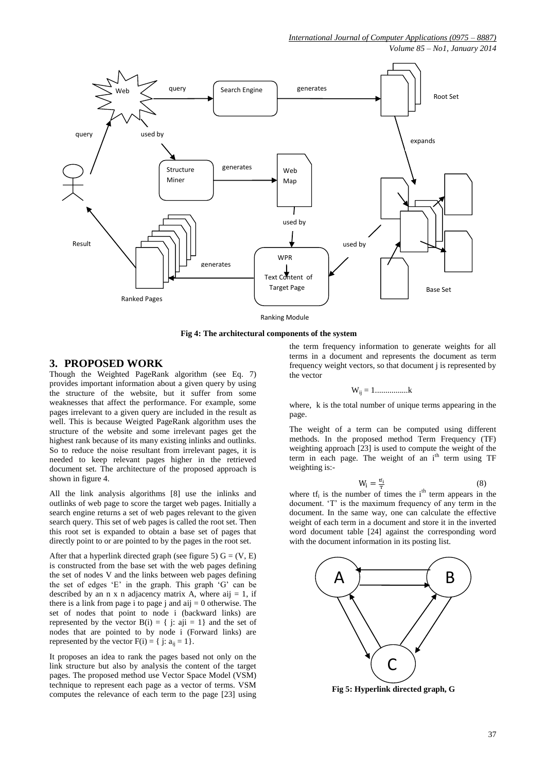*Volume 85 – No1, January 2014*



**Fig 4: The architectural components of the system**

#### **3. PROPOSED WORK**

Though the Weighted PageRank algorithm (see Eq. 7) provides important information about a given query by using the structure of the website, but it suffer from some weaknesses that affect the performance. For example, some pages irrelevant to a given query are included in the result as well. This is because Weigted PageRank algorithm uses the structure of the website and some irrelevant pages get the highest rank because of its many existing inlinks and outlinks. So to reduce the noise resultant from irrelevant pages, it is needed to keep relevant pages higher in the retrieved document set. The architecture of the proposed approach is shown in figure 4.

All the link analysis algorithms [8] use the inlinks and outlinks of web page to score the target web pages. Initially a search engine returns a set of web pages relevant to the given search query. This set of web pages is called the root set. Then this root set is expanded to obtain a base set of pages that directly point to or are pointed to by the pages in the root set.

After that a hyperlink directed graph (see figure 5)  $G = (V, E)$ is constructed from the base set with the web pages defining the set of nodes V and the links between web pages defining the set of edges 'E' in the graph. This graph 'G' can be described by an n x n adjacency matrix A, where  $aij = 1$ , if there is a link from page i to page j and aij  $= 0$  otherwise. The set of nodes that point to node i (backward links) are represented by the vector  $B(i) = \{ j: aji = 1 \}$  and the set of nodes that are pointed to by node i (Forward links) are represented by the vector  $F(i) = \{ j: a_{ii} = 1 \}.$ 

It proposes an idea to rank the pages based not only on the link structure but also by analysis the content of the target pages. The proposed method use Vector Space Model (VSM) technique to represent each page as a vector of terms. VSM computes the relevance of each term to the page [23] using

the term frequency information to generate weights for all terms in a document and represents the document as term frequency weight vectors, so that document j is represented by the vector

$$
\mathbf{W}_{ij}=1..............\mathbf{k}
$$

where, k is the total number of unique terms appearing in the page.

The weight of a term can be computed using different methods. In the proposed method Term Frequency (TF) weighting approach [23] is used to compute the weight of the term in each page. The weight of an  $i<sup>th</sup>$  term using TF weighting is:-

$$
W_i = \frac{tf_i}{T}
$$
 (8)

where  $tf_i$  is the number of times the i<sup>th</sup> term appears in the document. 'T' is the maximum frequency of any term in the document. In the same way, one can calculate the effective weight of each term in a document and store it in the inverted word document table [24] against the corresponding word with the document information in its posting list.



**Fig 5: Hyperlink directed graph, G**